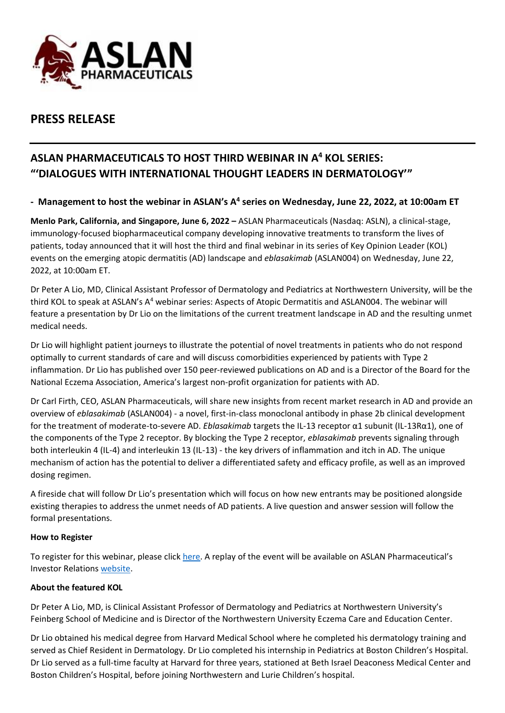

# **PRESS RELEASE**

# **ASLAN PHARMACEUTICALS TO HOST THIRD WEBINAR IN A <sup>4</sup> KOL SERIES: "'DIALOGUES WITH INTERNATIONAL THOUGHT LEADERS IN DERMATOLOGY'"**

### **- Management to host the webinar in ASLAN's A<sup>4</sup> series on Wednesday, June 22, 2022, at 10:00am ET**

**Menlo Park, California, and Singapore, June 6, 2022 –** ASLAN Pharmaceuticals (Nasdaq: ASLN), a clinical-stage, immunology-focused biopharmaceutical company developing innovative treatments to transform the lives of patients, today announced that it will host the third and final webinar in its series of Key Opinion Leader (KOL) events on the emerging atopic dermatitis (AD) landscape and *eblasakimab* (ASLAN004) on Wednesday, June 22, 2022, at 10:00am ET.

Dr Peter A Lio, MD, Clinical Assistant Professor of Dermatology and Pediatrics at Northwestern University, will be the third KOL to speak at ASLAN's A<sup>4</sup> webinar series: Aspects of Atopic Dermatitis and ASLAN004. The webinar will feature a presentation by Dr Lio on the limitations of the current treatment landscape in AD and the resulting unmet medical needs.

Dr Lio will highlight patient journeys to illustrate the potential of novel treatments in patients who do not respond optimally to current standards of care and will discuss comorbidities experienced by patients with Type 2 inflammation. Dr Lio has published over 150 peer-reviewed publications on AD and is a Director of the Board for the National Eczema Association, America's largest non-profit organization for patients with AD.

Dr Carl Firth, CEO, ASLAN Pharmaceuticals, will share new insights from recent market research in AD and provide an overview of *eblasakimab* (ASLAN004) - a novel, first-in-class monoclonal antibody in phase 2b clinical development for the treatment of moderate-to-severe AD. *Eblasakimab* targets the IL-13 receptor α1 subunit (IL-13Rα1), one of the components of the Type 2 receptor. By blocking the Type 2 receptor, *eblasakimab* prevents signaling through both interleukin 4 (IL-4) and interleukin 13 (IL-13) - the key drivers of inflammation and itch in AD. The unique mechanism of action has the potential to deliver a differentiated safety and efficacy profile, as well as an improved dosing regimen.

A fireside chat will follow Dr Lio's presentation which will focus on how new entrants may be positioned alongside existing therapies to address the unmet needs of AD patients. A live question and answer session will follow the formal presentations.

#### **How to Register**

To register for this webinar, please clic[k here.](https://lifesci.rampard.com/WebcastingAppv5/Events/eventsDispatcher.jsp?Y2lk=MTc4NQ==) A replay of the event will be available on ASLAN Pharmaceutical's Investor Relations [website.](https://ir.aslanpharma.com/webcasts-presentations)

#### **About the featured KOL**

Dr Peter A Lio, MD, is Clinical Assistant Professor of Dermatology and Pediatrics at Northwestern University's Feinberg School of Medicine and is Director of the Northwestern University Eczema Care and Education Center.

Dr Lio obtained his medical degree from Harvard Medical School where he completed his dermatology training and served as Chief Resident in Dermatology. Dr Lio completed his internship in Pediatrics at Boston Children's Hospital. Dr Lio served as a full-time faculty at Harvard for three years, stationed at Beth Israel Deaconess Medical Center and Boston Children's Hospital, before joining Northwestern and Lurie Children's hospital.